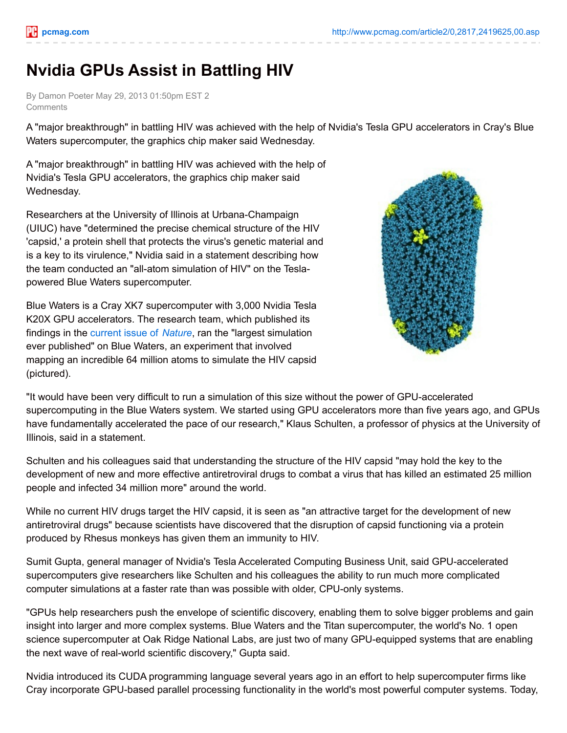## **Nvidia GPUs Assist in Battling HIV**

By Damon Poeter May 29, 2013 01:50pm EST 2 **Comments** 

A "major breakthrough" in battling HIV was achieved with the help of Nvidia's Tesla GPU accelerators in Cray's Blue Waters supercomputer, the graphics chip maker said Wednesday.

A "major breakthrough" in battling HIV was achieved with the help of Nvidia's Tesla GPU accelerators, the graphics chip maker said Wednesday.

Researchers at the University of Illinois at Urbana-Champaign (UIUC) have "determined the precise chemical structure of the HIV 'capsid,' a protein shell that protects the virus's genetic material and is a key to its virulence," Nvidia said in a statement describing how the team conducted an "all-atom simulation of HIV" on the Teslapowered Blue Waters supercomputer.

Blue Waters is a Cray XK7 supercomputer with 3,000 Nvidia Tesla K20X GPU accelerators. The research team, which published its findings in the [current](http://www.nature.com/nature/current_issue.html) issue of *Nature*, ran the "largest simulation ever published" on Blue Waters, an experiment that involved mapping an incredible 64 million atoms to simulate the HIV capsid (pictured).



"It would have been very difficult to run a simulation of this size without the power of GPU-accelerated supercomputing in the Blue Waters system. We started using GPU accelerators more than five years ago, and GPUs have fundamentally accelerated the pace of our research," Klaus Schulten, a professor of physics at the University of Illinois, said in a statement.

Schulten and his colleagues said that understanding the structure of the HIV capsid "may hold the key to the development of new and more effective antiretroviral drugs to combat a virus that has killed an estimated 25 million people and infected 34 million more" around the world.

While no current HIV drugs target the HIV capsid, it is seen as "an attractive target for the development of new antiretroviral drugs" because scientists have discovered that the disruption of capsid functioning via a protein produced by Rhesus monkeys has given them an immunity to HIV.

Sumit Gupta, general manager of Nvidia's Tesla Accelerated Computing Business Unit, said GPU-accelerated supercomputers give researchers like Schulten and his colleagues the ability to run much more complicated computer simulations at a faster rate than was possible with older, CPU-only systems.

"GPUs help researchers push the envelope of scientific discovery, enabling them to solve bigger problems and gain insight into larger and more complex systems. Blue Waters and the Titan supercomputer, the world's No. 1 open science supercomputer at Oak Ridge National Labs, are just two of many GPU-equipped systems that are enabling the next wave of real-world scientific discovery," Gupta said.

Nvidia introduced its CUDA programming language several years ago in an effort to help supercomputer firms like Cray incorporate GPU-based parallel processing functionality in the world's most powerful computer systems. Today,